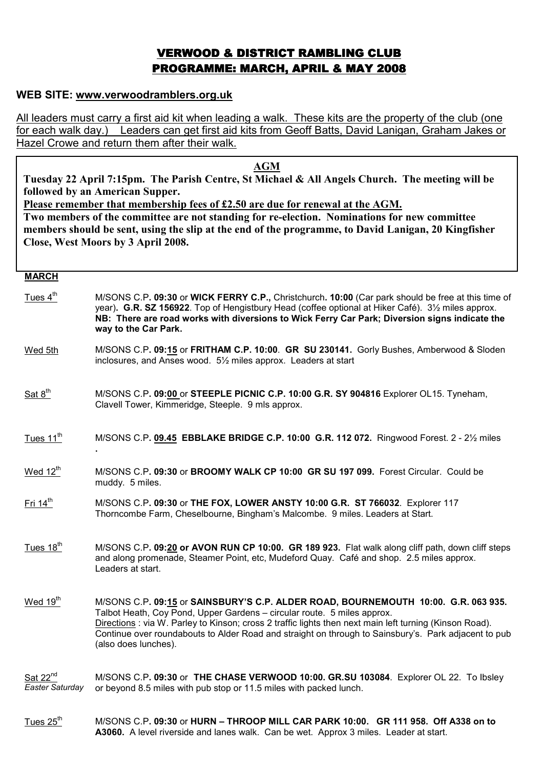# VERWOOD & DISTRICT RAMBLING CLUB PROGRAMME: MARCH, APRIL & MAY 2008

## WEB SITE: www.verwoodramblers.org.uk

All leaders must carry a first aid kit when leading a walk. These kits are the property of the club (one for each walk day.) Leaders can get first aid kits from Geoff Batts, David Lanigan, Graham Jakes or Hazel Crowe and return them after their walk.

AGM

Tuesday 22 April 7:15pm. The Parish Centre, St Michael & All Angels Church. The meeting will be followed by an American Supper.

Please remember that membership fees of £2.50 are due for renewal at the AGM.

Two members of the committee are not standing for re-election. Nominations for new committee members should be sent, using the slip at the end of the programme, to David Lanigan, 20 Kingfisher Close, West Moors by 3 April 2008.

### **MARCH**

- Tues 4<sup>th</sup> M/SONS C.P. 09:30 or WICK FERRY C.P., Christchurch. 10:00 (Car park should be free at this time of year). G.R. SZ 156922. Top of Hengistbury Head (coffee optional at Hiker Café). 3½ miles approx. NB: There are road works with diversions to Wick Ferry Car Park; Diversion signs indicate the way to the Car Park.
- Wed 5th M/SONS C.P. 09:15 or FRITHAM C.P. 10:00. GR SU 230141. Gorly Bushes, Amberwood & Sloden inclosures, and Anses wood. 5½ miles approx. Leaders at start
- Sat  $8<sup>th</sup>$  M/SONS C.P. 09:00 or STEEPLE PICNIC C.P. 10:00 G.R. SY 904816 Explorer OL15. Tyneham, Clavell Tower, Kimmeridge, Steeple. 9 mls approx.
- Tues  $11<sup>th</sup>$  M/SONS C.P. 09.45 EBBLAKE BRIDGE C.P. 10:00 G.R. 112 072. Ringwood Forest. 2 2½ miles .
- Wed 12<sup>th</sup> M/SONS C.P. 09:30 or BROOMY WALK CP 10:00 GR SU 197 099. Forest Circular. Could be muddy. 5 miles.
- $Fit 14<sup>th</sup>$  M/SONS C.P. 09:30 or THE FOX, LOWER ANSTY 10:00 G.R. ST 766032. Explorer 117 Thorncombe Farm, Cheselbourne, Bingham's Malcombe. 9 miles. Leaders at Start.
- Tues  $18<sup>th</sup>$  M/SONS C.P. 09:20 or AVON RUN CP 10:00. GR 189 923. Flat walk along cliff path, down cliff steps and along promenade, Steamer Point, etc, Mudeford Quay. Café and shop. 2.5 miles approx. Leaders at start.
- Wed 19<sup>th</sup> M/SONS C.P. 09:15 or SAINSBURY'S C.P. ALDER ROAD, BOURNEMOUTH 10:00. G.R. 063 935. Talbot Heath, Coy Pond, Upper Gardens – circular route. 5 miles approx. Directions : via W. Parley to Kinson; cross 2 traffic lights then next main left turning (Kinson Road). Continue over roundabouts to Alder Road and straight on through to Sainsbury's. Park adjacent to pub (also does lunches).

Sat 22<sup>nd</sup> Easter Saturday M/SONS C.P. 09:30 or THE CHASE VERWOOD 10:00. GR.SU 103084. Explorer OL 22. To Ibsley or beyond 8.5 miles with pub stop or 11.5 miles with packed lunch.

Tues  $25<sup>th</sup>$  M/SONS C.P. 09:30 or HURN – THROOP MILL CAR PARK 10:00. GR 111 958. Off A338 on to A3060. A level riverside and lanes walk. Can be wet. Approx 3 miles. Leader at start.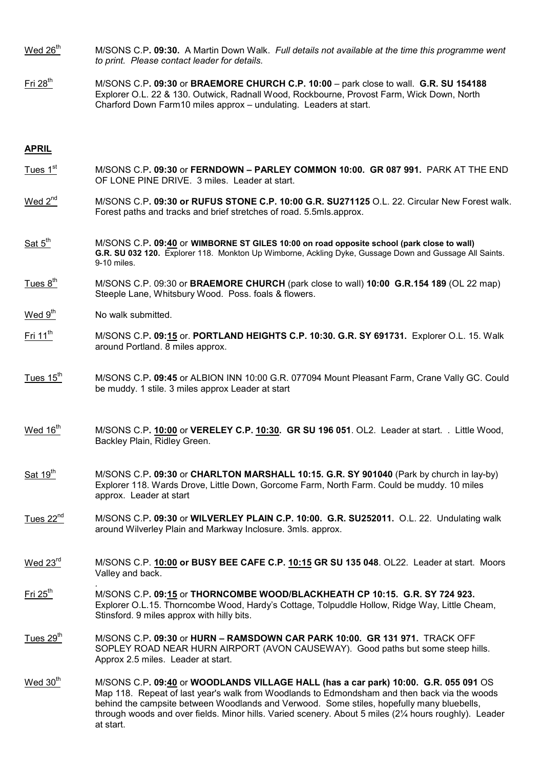- Wed  $26<sup>th</sup>$  M/SONS C.P. 09:30. A Martin Down Walk. Full details not available at the time this programme went to print. Please contact leader for details.
- Fri 28<sup>th</sup> M/SONS C.P. 09:30 or BRAEMORE CHURCH C.P. 10:00 park close to wall. G.R. SU 154188 Explorer O.L. 22 & 130. Outwick, Radnall Wood, Rockbourne, Provost Farm, Wick Down, North Charford Down Farm10 miles approx – undulating. Leaders at start.

### APRIL

- Tues 1<sup>st</sup> M/SONS C.P. 09:30 or FERNDOWN PARLEY COMMON 10:00. GR 087 991. PARK AT THE END OF LONE PINE DRIVE. 3 miles. Leader at start.
- Wed 2<sup>nd</sup> M/SONS C.P. 09:30 or RUFUS STONE C.P. 10:00 G.R. SU271125 O.L. 22. Circular New Forest walk. Forest paths and tracks and brief stretches of road. 5.5mls.approx.
- $Sat 5<sup>tn</sup>$  M/SONS C.P. 09:40 or WIMBORNE ST GILES 10:00 on road opposite school (park close to wall) G.R. SU 032 120. Explorer 118. Monkton Up Wimborne, Ackling Dyke, Gussage Down and Gussage All Saints. 9-10 miles.
- Tues  $8<sup>th</sup>$  M/SONS C.P. 09:30 or **BRAEMORE CHURCH** (park close to wall) **10:00 G.R.154 189** (OL 22 map) Steeple Lane, Whitsbury Wood. Poss. foals & flowers.
- Wed  $9<sup>th</sup>$  No walk submitted.

.

- Fri 11<sup>th</sup> M/SONS C.P. 09:15 or. PORTLAND HEIGHTS C.P. 10:30. G.R. SY 691731. Explorer O.L. 15. Walk around Portland. 8 miles approx.
- Tues  $15<sup>th</sup>$  M/SONS C.P. 09:45 or ALBION INN 10:00 G.R. 077094 Mount Pleasant Farm, Crane Vally GC. Could be muddy. 1 stile. 3 miles approx Leader at start
- Wed  $16<sup>th</sup>$  M/SONS C.P.  $10:00$  or VERELEY C.P.  $10:30$ . GR SU 196 051. OL2. Leader at start. . Little Wood, Backley Plain, Ridley Green.
- $Sat 19<sup>th</sup>$  M/SONS C.P. 09:30 or CHARLTON MARSHALL 10:15. G.R. SY 901040 (Park by church in lay-by) Explorer 118. Wards Drove, Little Down, Gorcome Farm, North Farm. Could be muddy. 10 miles approx. Leader at start
- Tues 22<sup>nd</sup> M/SONS C.P. 09:30 or WILVERLEY PLAIN C.P. 10:00. G.R. SU252011. O.L. 22. Undulating walk around Wilverley Plain and Markway Inclosure. 3mls. approx.
- Wed 23<sup>rd</sup> M/SONS C.P. 10:00 or BUSY BEE CAFE C.P. 10:15 GR SU 135 048. OL22. Leader at start. Moors Valley and back.
- Fri 25<sup>th</sup> M/SONS C.P. 09:15 or THORNCOMBE WOOD/BLACKHEATH CP 10:15. G.R. SY 724 923. Explorer O.L.15. Thorncombe Wood, Hardy's Cottage, Tolpuddle Hollow, Ridge Way, Little Cheam, Stinsford. 9 miles approx with hilly bits.
- Tues  $29<sup>th</sup>$  M/SONS C.P. 09:30 or HURN RAMSDOWN CAR PARK 10:00. GR 131 971. TRACK OFF SOPLEY ROAD NEAR HURN AIRPORT (AVON CAUSEWAY). Good paths but some steep hills. Approx 2.5 miles. Leader at start.
- Wed  $30<sup>th</sup>$  M/SONS C.P. 09:40 or WOODLANDS VILLAGE HALL (has a car park) 10:00. G.R. 055 091 OS Map 118. Repeat of last year's walk from Woodlands to Edmondsham and then back via the woods behind the campsite between Woodlands and Verwood. Some stiles, hopefully many bluebells, through woods and over fields. Minor hills. Varied scenery. About 5 miles (2¼ hours roughly). Leader at start.